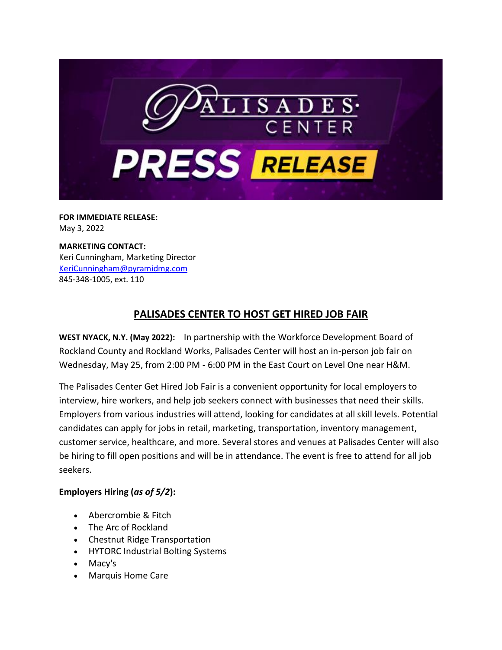

**FOR IMMEDIATE RELEASE:** May 3, 2022

**MARKETING CONTACT:** Keri Cunningham, Marketing Director [KeriCunningham@pyramidmg.com](mailto:KeriCunningham@pyramidmg.com) 845-348-1005, ext. 110

## **PALISADES CENTER TO HOST GET HIRED JOB FAIR**

**WEST NYACK, N.Y. (May 2022):** In partnership with the Workforce Development Board of Rockland County and Rockland Works, Palisades Center will host an in-person job fair on Wednesday, May 25, from 2:00 PM - 6:00 PM in the East Court on Level One near H&M.

The Palisades Center Get Hired Job Fair is a convenient opportunity for local employers to interview, hire workers, and help job seekers connect with businesses that need their skills. Employers from various industries will attend, looking for candidates at all skill levels. Potential candidates can apply for jobs in retail, marketing, transportation, inventory management, customer service, healthcare, and more. Several stores and venues at Palisades Center will also be hiring to fill open positions and will be in attendance. The event is free to attend for all job seekers.

## **Employers Hiring (***as of 5/2***):**

- Abercrombie & Fitch
- The Arc of Rockland
- Chestnut Ridge Transportation
- HYTORC Industrial Bolting Systems
- Macy's
- Marquis Home Care